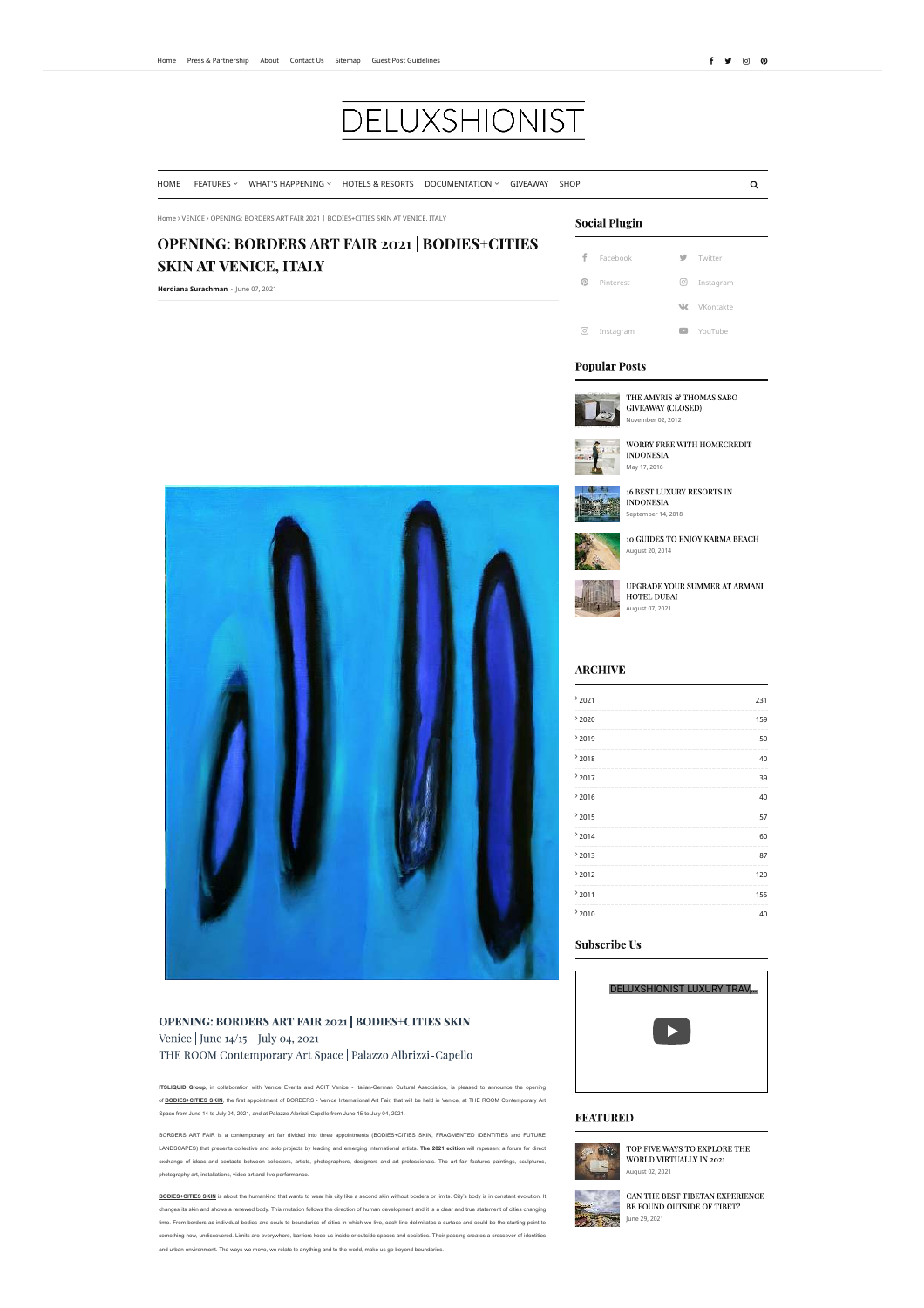# **DELUXSHIONIST**

HOME FEATURES v WHAT'S HAPPENING v HOTELS & RESORTS DOCUMENTATION v GIVEAWAY SHOP **o and the system of the contra** 

## Home ö VENICE ö OPENING: BORDERS ART FAIR 2021 | BODIES+CITIES SKIN AT VENICE, ITALY

## **OPENING: BORDERS ART FAIR 2021 | BODIES+CITIES SKIN AT VENICE, ITALY**

**Herdiana Surachman** - June 07, 2021



## OPENING: BORDERS ART FAIR 2021 | BODIES+CITIES SKIN Venice | June 14/15 - July 04, 2021 THE ROOM Contemporary Art Space | Palazzo Albrizzi-Capello

**ITSLIQUID Group**, in collaboration with Venice Events and ACIT Venice - Italian-German Cultural Association, is pleased to announce the opening of **BODIES+CITIES SKIN**, the first appointment of BORDERS - Venice International Art Fair, that will be held in Venice, at THE ROOM Contemporary Art

Space from June 14 to July 04, 2021, and at Palazzo Albrizzi-Capello from June 15 to July 04, 2021.

BORDERS ART FAIR is a contemporary art fair divided into three appointments (BODIES+CITIES SKIN, FRAGMENTED IDENTITIES and FUTURE LANDSCAPES) that presents collective and solo projects by leading and emerging international artists. **The 2021 edition** will represent a forum for direct exchange of ideas and contacts between collectors, artists, photographers, designers and art professionals. The art fair features paintings, sculptures, photography art, installations, video art and live performance.

**BODIES+CITIES SKIN** is about the humankind that wants to wear his city like a second skin without borders or limits. City's body is in constant evolution. It changes its skin and shows a renewed body. This mutation follows the direction of human development and it is a clear and true statement of cities changing time. From borders as individual bodies and souls to boundaries of cities in which we live, each line delimitates a surface and could be the starting point to something new, undiscovered. Limits are everywhere, barriers keep us inside or outside spaces and societies. Their passing creates a crossover of identities and urban environment. The ways we move, we relate to anything and to the world, make us go beyond boundaries.

#### **Social Plugin**

 Facebook Twitter **<sup>1</sup>** Pinterest **instagram W** VKontakte **T** Instagram **F** YouTube

## **Popular Posts**



THE AMYRIS  $\mathcal C$  THOMAS SABO **GIVEAWAY (CLOSED)** November 02, 2012



WORRY FREE WITH HOMECREDIT **INDONESIA** May 17, 2016



**INDONESIA** September 14, 2018



August 20, 2014



UPGRADE YOUR SUMMER AT ARMANI HOTEL DUBAI August 07, 2021

## **ARCHIVE**

| 2021 | 231 |
|------|-----|
| 2020 | 159 |
| 2019 | 50  |
| 2018 | 40  |
| 2017 | 39  |
| 2016 | 40  |
| 2015 | 57  |
| 2014 | 60  |
| 2013 | 87  |
| 2012 | 120 |
| 2011 | 155 |
| 2010 | 40  |

## **Subscribe Us**



#### **FEATURED**



TOP FIVE WAYS TO EXPLORE THE WORLD VIRTUALLY IN 2021 August 02, 2021



CAN THE BEST TIBETAN EXPERIENCE BE FOUND OUTSIDE OF TIBET?